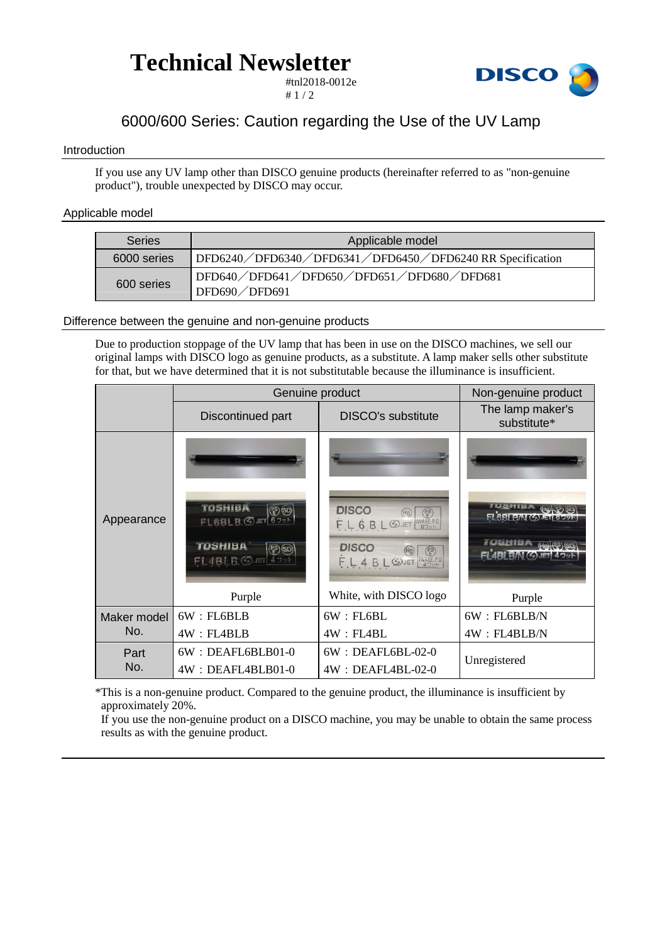## **Technical Newsletter**



#tnl2018-0012e  $# 1 / 2$ 

### 6000/600 Series: Caution regarding the Use of the UV Lamp

#### Introduction

If you use any UV lamp other than DISCO genuine products (hereinafter referred to as "non-genuine product"), trouble unexpected by DISCO may occur.

#### Applicable model

| <b>Series</b> | Applicable model                                                          |  |  |
|---------------|---------------------------------------------------------------------------|--|--|
| 6000 series   | DFD6240/DFD6340/DFD6341/DFD6450/DFD6240 RR Specification                  |  |  |
| 600 series    | DFD640/DFD641/DFD650/DFD651/DFD680/DFD681<br>$^1$ DFD690 $\diagup$ DFD691 |  |  |

#### Difference between the genuine and non-genuine products

Due to production stoppage of the UV lamp that has been in use on the DISCO machines, we sell our original lamps with DISCO logo as genuine products, as a substitute. A lamp maker sells other substitute for that, but we have determined that it is not substitutable because the illuminance is insufficient.

|                    | Genuine product                                                                              | Non-genuine product                                                                             |                                       |
|--------------------|----------------------------------------------------------------------------------------------|-------------------------------------------------------------------------------------------------|---------------------------------------|
|                    | Discontinued part                                                                            | <b>DISCO's substitute</b>                                                                       | The lamp maker's<br>substitute*       |
| Appearance         |                                                                                              |                                                                                                 |                                       |
|                    | <b>TOSHIBA</b><br>$(2)$ (50)<br>FL6BLB. SUET 6791<br><b>TOSHIBA</b><br>$(PP)$ (SD)<br>FL4BLB | <b>DISCO</b><br>$\binom{ps}{F}$<br>FL 6 BL SJET WASERD<br><b>DISCO</b><br>E<br>FL4BL@JET WASEPD | FL6BLE/N(S)JET<br>FLABI B/N GUET 479H |
|                    | Purple                                                                                       | White, with DISCO logo                                                                          | Purple                                |
| Maker model<br>No. | 6W : FL6BLB                                                                                  | 6W : FL6BL                                                                                      | 6W : FL6BLB/N                         |
|                    | 4W : FL4BLB                                                                                  | 4W : FLABL                                                                                      | 4W : FLABLB/N                         |
| Part<br>No.        | 6W: DEAFL6BLB01-0                                                                            | $6W : DEAFL6BL-02-0$                                                                            | Unregistered                          |
|                    | 4W: DEAFL4BLB01-0                                                                            | $4W : DEAFLABL-02-0$                                                                            |                                       |

\*This is a non-genuine product. Compared to the genuine product, the illuminance is insufficient by approximately 20%.

If you use the non-genuine product on a DISCO machine, you may be unable to obtain the same process results as with the genuine product.